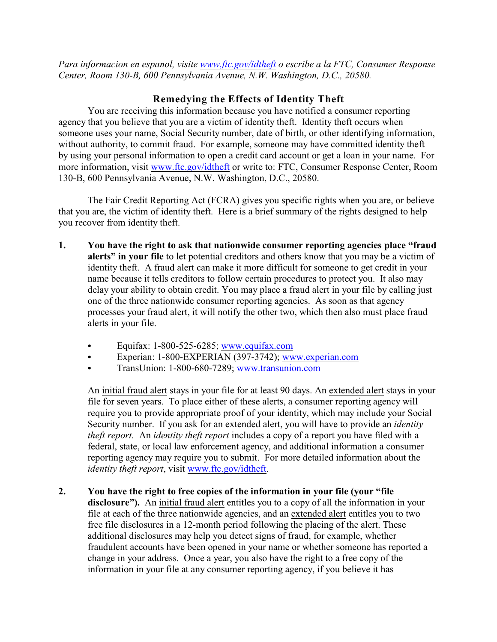*Para informacion en espanol, visite [www.ftc.gov/idtheft](http://www.ftc.gov/idtheft) o escribe a la FTC, Consumer Response Center, Room 130-B, 600 Pennsylvania Avenue, N.W. Washington, D.C., 20580.*

## **Remedying the Effects of Identity Theft**

You are receiving this information because you have notified a consumer reporting agency that you believe that you are a victim of identity theft. Identity theft occurs when someone uses your name, Social Security number, date of birth, or other identifying information, without authority, to commit fraud. For example, someone may have committed identity theft by using your personal information to open a credit card account or get a loan in your name. For more information, visit [www.ftc.gov/idtheft](http://www.ftc.gov/idtheft) or write to: FTC, Consumer Response Center, Room 130-B, 600 Pennsylvania Avenue, N.W. Washington, D.C., 20580.

The Fair Credit Reporting Act (FCRA) gives you specific rights when you are, or believe that you are, the victim of identity theft. Here is a brief summary of the rights designed to help you recover from identity theft.

- **1. You have the right to ask that nationwide consumer reporting agencies place "fraud alerts" in your file** to let potential creditors and others know that you may be a victim of identity theft. A fraud alert can make it more difficult for someone to get credit in your name because it tells creditors to follow certain procedures to protect you. It also may delay your ability to obtain credit. You may place a fraud alert in your file by calling just one of the three nationwide consumer reporting agencies. As soon as that agency processes your fraud alert, it will notify the other two, which then also must place fraud alerts in your file.
	- Equifax: 1-800-525-6285; [www.equifax.com](http://www.equifax.com)
	- C Experian: 1-800-EXPERIAN (397-3742); [www.experian.com](http://www.experian.com)
	- TransUnion: 1-800-680-7289; [www.transunion.com](http://www.transunion.com)

An initial fraud alert stays in your file for at least 90 days. An extended alert stays in your file for seven years. To place either of these alerts, a consumer reporting agency will require you to provide appropriate proof of your identity, which may include your Social Security number. If you ask for an extended alert, you will have to provide an *identity theft report.* An *identity theft report* includes a copy of a report you have filed with a federal, state, or local law enforcement agency, and additional information a consumer reporting agency may require you to submit. For more detailed information about the *identity theft report*, visit [www.ftc.gov/idtheft](http://www.ftc.gov/idtheft).

**2. You have the right to free copies of the information in your file (your "file disclosure").** An initial fraud alert entitles you to a copy of all the information in your file at each of the three nationwide agencies, and an extended alert entitles you to two free file disclosures in a 12-month period following the placing of the alert. These additional disclosures may help you detect signs of fraud, for example, whether fraudulent accounts have been opened in your name or whether someone has reported a change in your address. Once a year, you also have the right to a free copy of the information in your file at any consumer reporting agency, if you believe it has